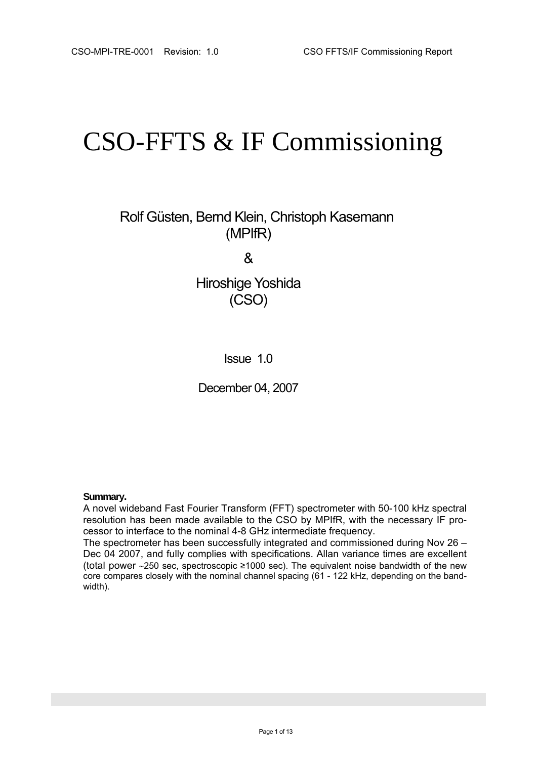# CSO-FFTS & IF Commissioning

 Rolf Güsten, Bernd Klein, Christoph Kasemann (MPIfR)

&

Hiroshige Yoshida (CSO)

Issue 1.0

December 04, 2007

#### **Summary.**

A novel wideband Fast Fourier Transform (FFT) spectrometer with 50-100 kHz spectral resolution has been made available to the CSO by MPIfR, with the necessary IF processor to interface to the nominal 4-8 GHz intermediate frequency.

The spectrometer has been successfully integrated and commissioned during Nov 26 – Dec 04 2007, and fully complies with specifications. Allan variance times are excellent (total power ∼250 sec, spectroscopic ≥1000 sec). The equivalent noise bandwidth of the new core compares closely with the nominal channel spacing (61 - 122 kHz, depending on the bandwidth).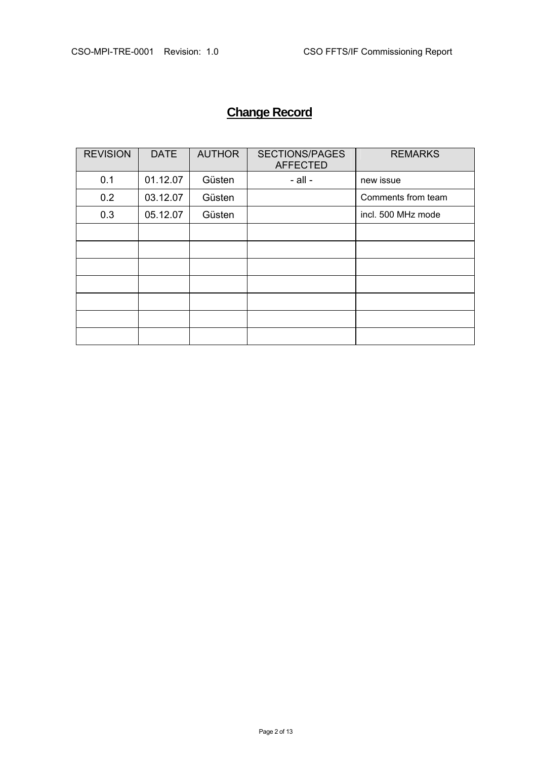# **Change Record**

| <b>REVISION</b> | <b>DATE</b> | <b>AUTHOR</b> | <b>SECTIONS/PAGES</b><br><b>AFFECTED</b> | <b>REMARKS</b>     |
|-----------------|-------------|---------------|------------------------------------------|--------------------|
| 0.1             | 01.12.07    | Güsten        | $-$ all $-$                              | new issue          |
| 0.2             | 03.12.07    | Güsten        |                                          | Comments from team |
| 0.3             | 05.12.07    | Güsten        |                                          | incl. 500 MHz mode |
|                 |             |               |                                          |                    |
|                 |             |               |                                          |                    |
|                 |             |               |                                          |                    |
|                 |             |               |                                          |                    |
|                 |             |               |                                          |                    |
|                 |             |               |                                          |                    |
|                 |             |               |                                          |                    |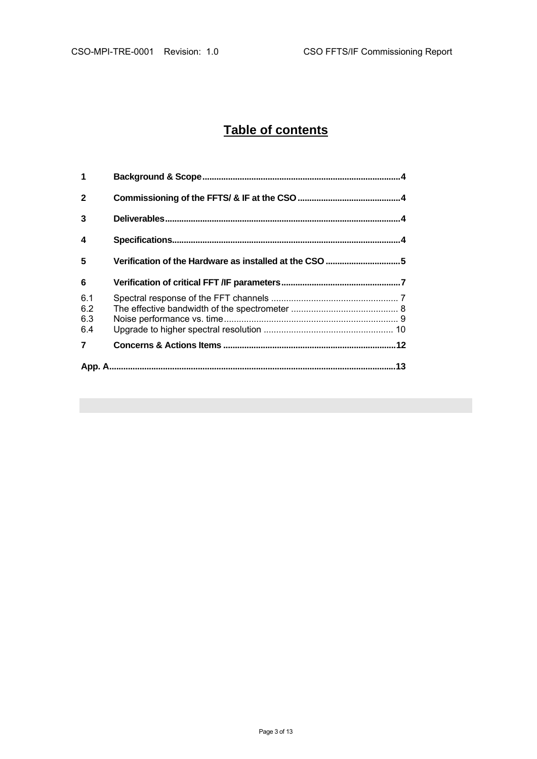# **Table of contents**

| 1                        |                                                        |  |  |
|--------------------------|--------------------------------------------------------|--|--|
| $\mathbf{2}$             |                                                        |  |  |
| 3                        |                                                        |  |  |
| 4                        |                                                        |  |  |
| 5                        | Verification of the Hardware as installed at the CSO 5 |  |  |
| 6                        |                                                        |  |  |
| 6.1<br>6.2<br>6.3<br>6.4 |                                                        |  |  |
| $\overline{\mathbf{z}}$  |                                                        |  |  |
|                          |                                                        |  |  |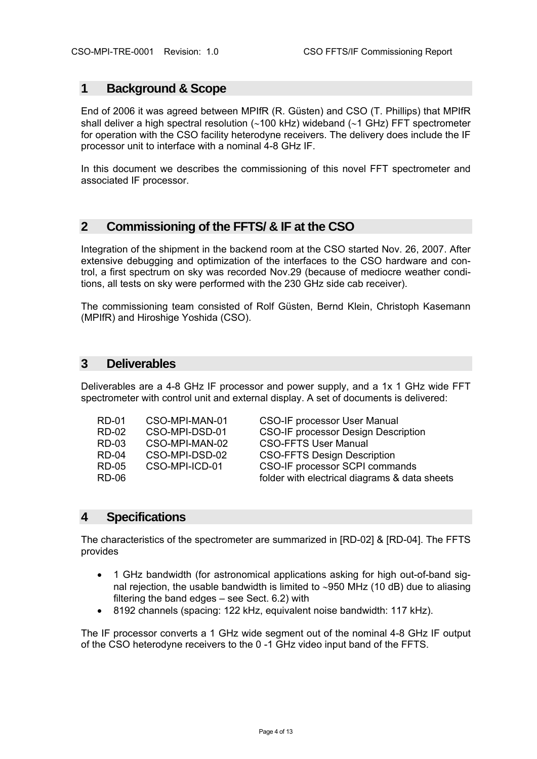### **1 Background & Scope**

End of 2006 it was agreed between MPIfR (R. Güsten) and CSO (T. Phillips) that MPIfR shall deliver a high spectral resolution (∼100 kHz) wideband (∼1 GHz) FFT spectrometer for operation with the CSO facility heterodyne receivers. The delivery does include the IF processor unit to interface with a nominal 4-8 GHz IF.

In this document we describes the commissioning of this novel FFT spectrometer and associated IF processor.

# **2 Commissioning of the FFTS/ & IF at the CSO**

Integration of the shipment in the backend room at the CSO started Nov. 26, 2007. After extensive debugging and optimization of the interfaces to the CSO hardware and control, a first spectrum on sky was recorded Nov.29 (because of mediocre weather conditions, all tests on sky were performed with the 230 GHz side cab receiver).

The commissioning team consisted of Rolf Güsten, Bernd Klein, Christoph Kasemann (MPIfR) and Hiroshige Yoshida (CSO).

## **3 Deliverables**

Deliverables are a 4-8 GHz IF processor and power supply, and a 1x 1 GHz wide FFT spectrometer with control unit and external display. A set of documents is delivered:

| <b>RD-01</b> | CSO-MPI-MAN-01 | <b>CSO-IF processor User Manual</b>           |
|--------------|----------------|-----------------------------------------------|
| <b>RD-02</b> | CSO-MPI-DSD-01 | <b>CSO-IF processor Design Description</b>    |
| <b>RD-03</b> | CSO-MPI-MAN-02 | <b>CSO-FFTS User Manual</b>                   |
| <b>RD-04</b> | CSO-MPI-DSD-02 | <b>CSO-FFTS Design Description</b>            |
| <b>RD-05</b> | CSO-MPI-ICD-01 | CSO-IF processor SCPI commands                |
| <b>RD-06</b> |                | folder with electrical diagrams & data sheets |
|              |                |                                               |

#### **4 Specifications**

The characteristics of the spectrometer are summarized in [RD-02] & [RD-04]. The FFTS provides

- 1 GHz bandwidth (for astronomical applications asking for high out-of-band signal rejection, the usable bandwidth is limited to ∼950 MHz (10 dB) due to aliasing filtering the band edges – see Sect. 6.2) with
- 8192 channels (spacing: 122 kHz, equivalent noise bandwidth: 117 kHz).

The IF processor converts a 1 GHz wide segment out of the nominal 4-8 GHz IF output of the CSO heterodyne receivers to the 0 -1 GHz video input band of the FFTS.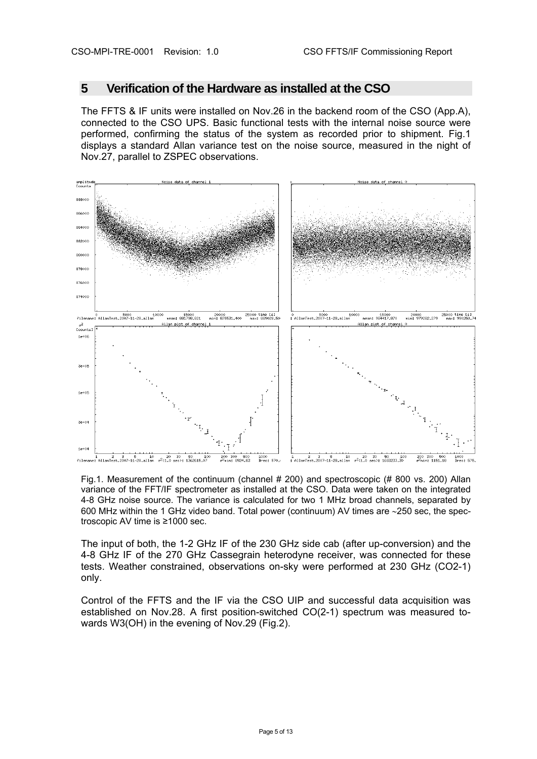## **5 Verification of the Hardware as installed at the CSO**

The FFTS & IF units were installed on Nov.26 in the backend room of the CSO (App.A), connected to the CSO UPS. Basic functional tests with the internal noise source were performed, confirming the status of the system as recorded prior to shipment. Fig.1 displays a standard Allan variance test on the noise source, measured in the night of Nov.27, parallel to ZSPEC observations.



Fig.1. Measurement of the continuum (channel # 200) and spectroscopic (# 800 vs. 200) Allan variance of the FFT/IF spectrometer as installed at the CSO. Data were taken on the integrated 4-8 GHz noise source. The variance is calculated for two 1 MHz broad channels, separated by 600 MHz within the 1 GHz video band. Total power (continuum) AV times are ∼250 sec, the spectroscopic AV time is ≥1000 sec.

The input of both, the 1-2 GHz IF of the 230 GHz side cab (after up-conversion) and the 4-8 GHz IF of the 270 GHz Cassegrain heterodyne receiver, was connected for these tests. Weather constrained, observations on-sky were performed at 230 GHz (CO2-1) only.

Control of the FFTS and the IF via the CSO UIP and successful data acquisition was established on Nov.28. A first position-switched CO(2-1) spectrum was measured towards W3(OH) in the evening of Nov.29 (Fig.2).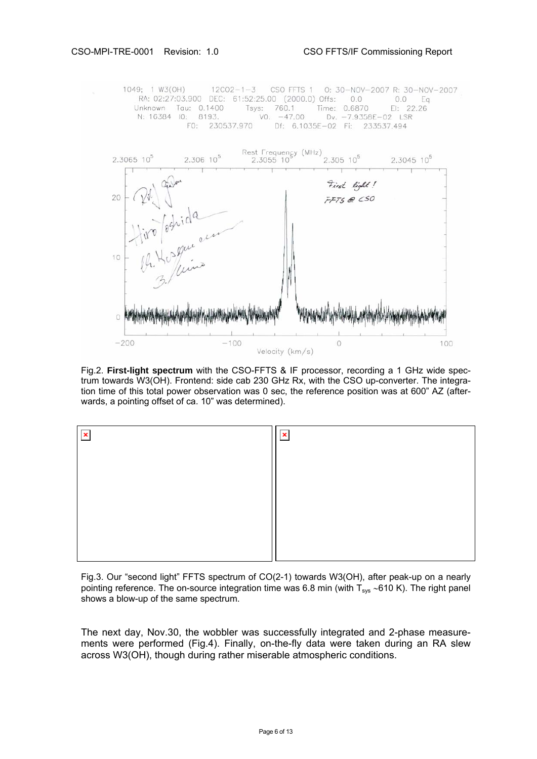1049; 1 W3(OH) 12CO2-1-3 CSO FFTS 1 0: 30-NOV-2007 R: 30-NOV-2007 RA: 02:27:03.900 DEC: 61:52:25.00 (2000.0) Offs: 0.0 0.0 Eq Time: 0.6870 EI: 22<br>Dv: -7.9358E-02 LSR Unknown Tau: 0.1400 Tsys: 760.1 EI: 22.26 N: 16384 IO: 8193.  $VO: -47.00$ F0: 230537.970 Df: 6.1035E-02 Fi: 233537.494



Fig.2. **First-light spectrum** with the CSO-FFTS & IF processor, recording a 1 GHz wide spectrum towards W3(OH). Frontend: side cab 230 GHz Rx, with the CSO up-converter. The integration time of this total power observation was 0 sec, the reference position was at 600" AZ (afterwards, a pointing offset of ca. 10" was determined).



Fig.3. Our "second light" FFTS spectrum of CO(2-1) towards W3(OH), after peak-up on a nearly pointing reference. The on-source integration time was 6.8 min (with T<sub>sys</sub> ~610 K). The right panel shows a blow-up of the same spectrum.

The next day, Nov.30, the wobbler was successfully integrated and 2-phase measurements were performed (Fig.4). Finally, on-the-fly data were taken during an RA slew across W3(OH), though during rather miserable atmospheric conditions.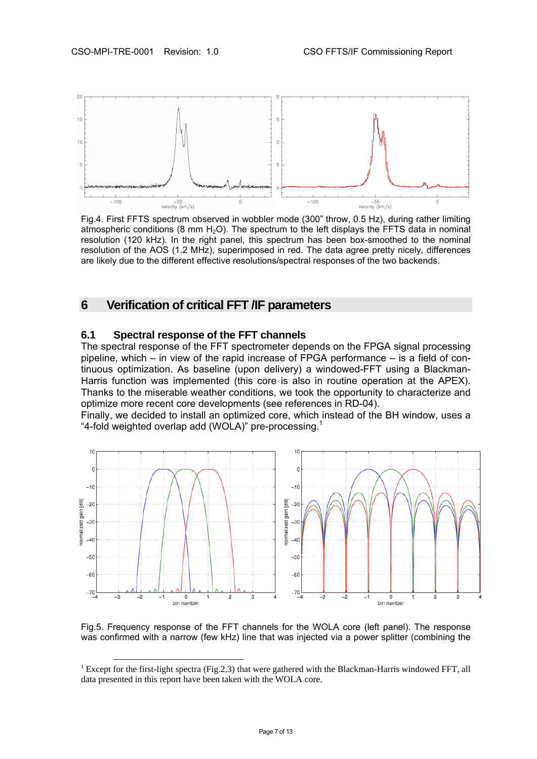

Fig.4. First FFTS spectrum observed in wobbler mode (300" throw, 0.5 Hz), during rather limiting atmospheric conditions (8 mm  $H_2O$ ). The spectrum to the left displays the FFTS data in nominal resolution (120 kHz). In the right panel, this spectrum has been box-smoothed to the nominal resolution of the AOS (1.2 MHz), superimposed in red. The data agree pretty nicely, differences are likely due to the different effective resolutions/spectral responses of the two backends.

## **6 Verification of critical FFT /IF parameters**

#### **6.1 Spectral response of the FFT channels**

The spectral response of the FFT spectrometer depends on the FPGA signal processing pipeline, which – in view of the rapid increase of FPGA performance – is a field of continuous optimization. As baseline (upon delivery) a windowed-FFT using a Blackman-Harris function was implemented (this core is also in routine operation at the APEX). Thanks to the miserable weather conditions, we took the opportunity to characterize and optimize more recent core developments (see references in RD-04).

Finally, we decided to install an optimized core, which instead of the BH window, uses a "4-fold weighted overlap add (WOLA)" pre-processing. $1$ 



Fig.5. Frequency response of the FFT channels for the WOLA core (left panel). The response was confirmed with a narrow (few kHz) line that was injected via a power splitter (combining the

<sup>&</sup>lt;sup>1</sup> Except for the first-light spectra (Fig.2,3) that were gathered with the Blackman-Harris windowed FFT, all data presented in this report have been taken with the WOLA core.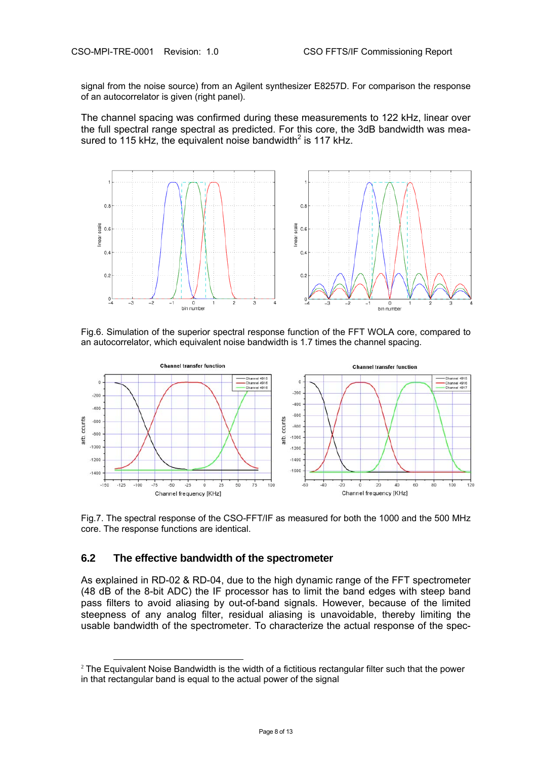signal from the noise source) from an Agilent synthesizer E8257D. For comparison the response of an autocorrelator is given (right panel).

The channel spacing was confirmed during these measurements to 122 kHz, linear over the full spectral range spectral as predicted. For this core, the 3dB bandwidth was measured to 115 kHz, the equivalent noise bandwidth $^2$  is 117 kHz.



Fig.6. Simulation of the superior spectral response function of the FFT WOLA core, compared to an autocorrelator, which equivalent noise bandwidth is 1.7 times the channel spacing.



Fig.7. The spectral response of the CSO-FFT/IF as measured for both the 1000 and the 500 MHz core. The response functions are identical.

#### **6.2 The effective bandwidth of the spectrometer**

As explained in RD-02 & RD-04, due to the high dynamic range of the FFT spectrometer (48 dB of the 8-bit ADC) the IF processor has to limit the band edges with steep band pass filters to avoid aliasing by out-of-band signals. However, because of the limited steepness of any analog filter, residual aliasing is unavoidable, thereby limiting the usable bandwidth of the spectrometer. To characterize the actual response of the spec-

 $2$  The Equivalent Noise Bandwidth is the width of a fictitious rectangular filter such that the power in that rectangular band is equal to the actual power of the signal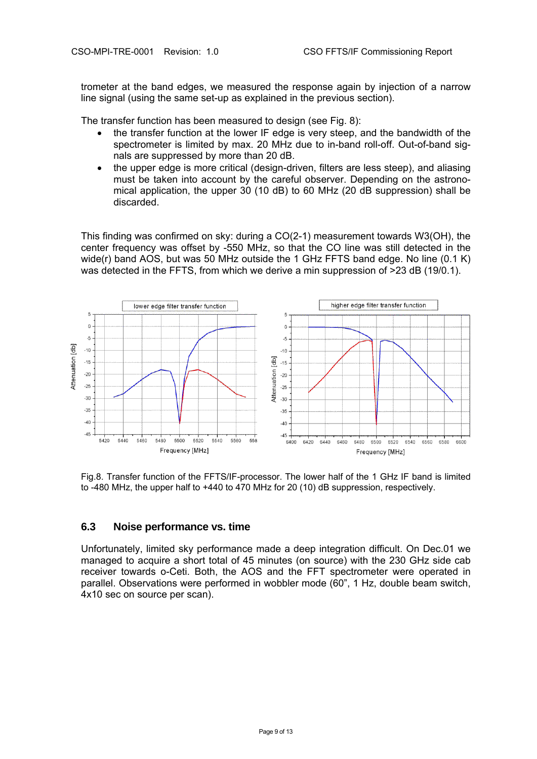trometer at the band edges, we measured the response again by injection of a narrow line signal (using the same set-up as explained in the previous section).

The transfer function has been measured to design (see Fig. 8):

- the transfer function at the lower IF edge is very steep, and the bandwidth of the spectrometer is limited by max. 20 MHz due to in-band roll-off. Out-of-band signals are suppressed by more than 20 dB.
- the upper edge is more critical (design-driven, filters are less steep), and aliasing must be taken into account by the careful observer. Depending on the astronomical application, the upper 30 (10 dB) to 60 MHz (20 dB suppression) shall be discarded.

This finding was confirmed on sky: during a CO(2-1) measurement towards W3(OH), the center frequency was offset by -550 MHz, so that the CO line was still detected in the wide(r) band AOS, but was 50 MHz outside the 1 GHz FFTS band edge. No line (0.1 K) was detected in the FFTS, from which we derive a min suppression of >23 dB (19/0.1).



Fig.8. Transfer function of the FFTS/IF-processor. The lower half of the 1 GHz IF band is limited to -480 MHz, the upper half to +440 to 470 MHz for 20 (10) dB suppression, respectively.

#### **6.3 Noise performance vs. time**

Unfortunately, limited sky performance made a deep integration difficult. On Dec.01 we managed to acquire a short total of 45 minutes (on source) with the 230 GHz side cab receiver towards o-Ceti. Both, the AOS and the FFT spectrometer were operated in parallel. Observations were performed in wobbler mode (60", 1 Hz, double beam switch, 4x10 sec on source per scan).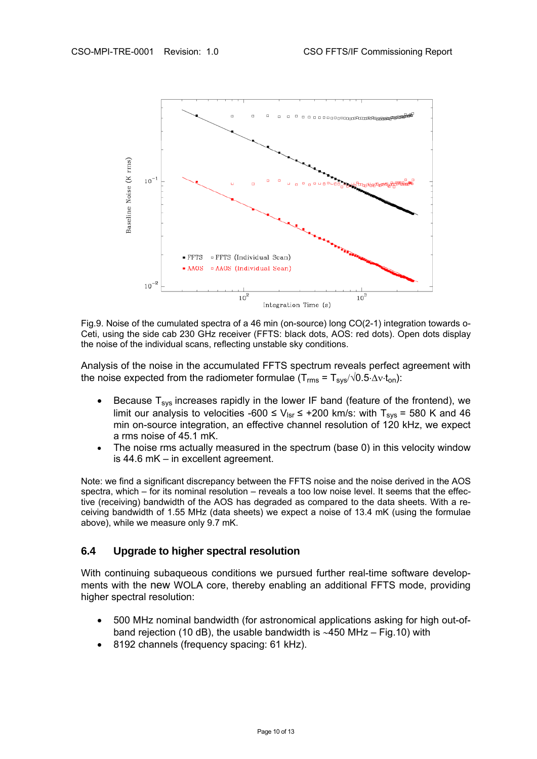

Fig.9. Noise of the cumulated spectra of a 46 min (on-source) long CO(2-1) integration towards o-Ceti, using the side cab 230 GHz receiver (FFTS: black dots, AOS: red dots). Open dots display the noise of the individual scans, reflecting unstable sky conditions.

Analysis of the noise in the accumulated FFTS spectrum reveals perfect agreement with the noise expected from the radiometer formulae ( $T_{rms} = T_{sys}/\sqrt{0.5 \cdot \Delta v \cdot t_{on}}$ ):

- Because  $T_{sys}$  increases rapidly in the lower IF band (feature of the frontend), we limit our analysis to velocities -600 ≤  $V_{\text{lsr}}$  ≤ +200 km/s: with T<sub>sys</sub> = 580 K and 46 min on-source integration, an effective channel resolution of 120 kHz, we expect a rms noise of 45.1 mK.
- The noise rms actually measured in the spectrum (base 0) in this velocity window is 44.6 mK – in excellent agreement.

Note: we find a significant discrepancy between the FFTS noise and the noise derived in the AOS spectra, which – for its nominal resolution – reveals a too low noise level. It seems that the effective (receiving) bandwidth of the AOS has degraded as compared to the data sheets. With a receiving bandwidth of 1.55 MHz (data sheets) we expect a noise of 13.4 mK (using the formulae above), while we measure only 9.7 mK.

#### **6.4 Upgrade to higher spectral resolution**

With continuing subaqueous conditions we pursued further real-time software developments with the new WOLA core, thereby enabling an additional FFTS mode, providing higher spectral resolution:

- 500 MHz nominal bandwidth (for astronomical applications asking for high out-ofband rejection (10 dB), the usable bandwidth is ∼450 MHz – Fig.10) with
- 8192 channels (frequency spacing: 61 kHz).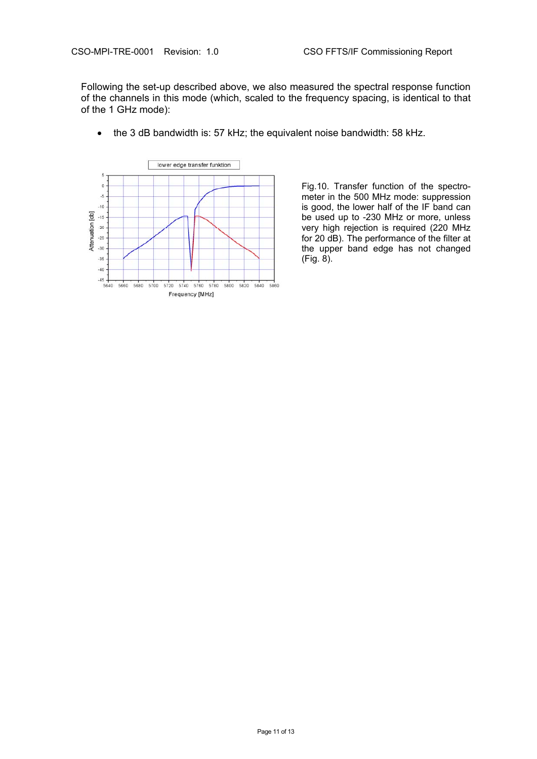Following the set-up described above, we also measured the spectral response function of the channels in this mode (which, scaled to the frequency spacing, is identical to that of the 1 GHz mode):



• the 3 dB bandwidth is: 57 kHz; the equivalent noise bandwidth: 58 kHz.

Fig.10. Transfer function of the spectrometer in the 500 MHz mode: suppression is good, the lower half of the IF band can be used up to -230 MHz or more, unless very high rejection is required (220 MHz for 20 dB). The performance of the filter at the upper band edge has not changed (Fig. 8).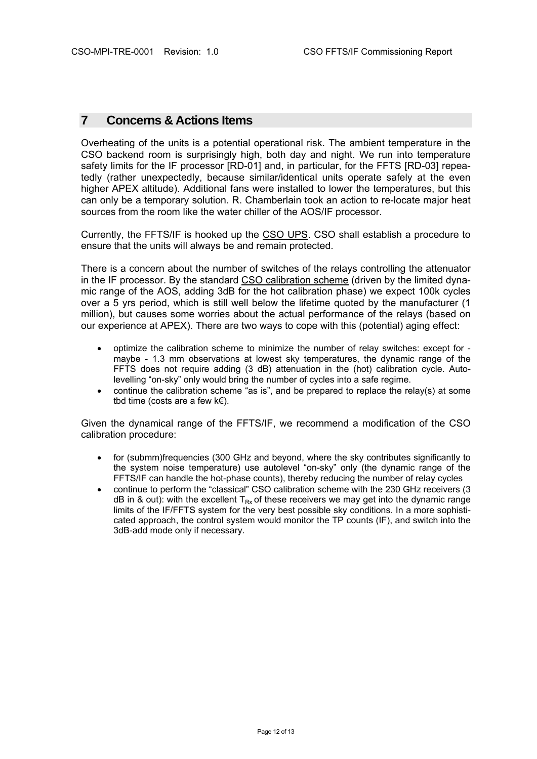# **7 Concerns & Actions Items**

Overheating of the units is a potential operational risk. The ambient temperature in the CSO backend room is surprisingly high, both day and night. We run into temperature safety limits for the IF processor [RD-01] and, in particular, for the FFTS [RD-03] repeatedly (rather unexpectedly, because similar/identical units operate safely at the even higher APEX altitude). Additional fans were installed to lower the temperatures, but this can only be a temporary solution. R. Chamberlain took an action to re-locate major heat sources from the room like the water chiller of the AOS/IF processor.

Currently, the FFTS/IF is hooked up the CSO UPS. CSO shall establish a procedure to ensure that the units will always be and remain protected.

There is a concern about the number of switches of the relays controlling the attenuator in the IF processor. By the standard CSO calibration scheme (driven by the limited dynamic range of the AOS, adding 3dB for the hot calibration phase) we expect 100k cycles over a 5 yrs period, which is still well below the lifetime quoted by the manufacturer (1 million), but causes some worries about the actual performance of the relays (based on our experience at APEX). There are two ways to cope with this (potential) aging effect:

- optimize the calibration scheme to minimize the number of relay switches: except for maybe - 1.3 mm observations at lowest sky temperatures, the dynamic range of the FFTS does not require adding (3 dB) attenuation in the (hot) calibration cycle. Autolevelling "on-sky" only would bring the number of cycles into a safe regime.
- continue the calibration scheme "as is", and be prepared to replace the relay(s) at some tbd time (costs are a few  $k \in \mathbb{R}$ ).

Given the dynamical range of the FFTS/IF, we recommend a modification of the CSO calibration procedure:

- for (submm)frequencies (300 GHz and beyond, where the sky contributes significantly to the system noise temperature) use autolevel "on-sky" only (the dynamic range of the FFTS/IF can handle the hot-phase counts), thereby reducing the number of relay cycles
- continue to perform the "classical" CSO calibration scheme with the 230 GHz receivers (3 dB in & out): with the excellent  $T_{Rx}$  of these receivers we may get into the dynamic range limits of the IF/FFTS system for the very best possible sky conditions. In a more sophisticated approach, the control system would monitor the TP counts (IF), and switch into the 3dB-add mode only if necessary.